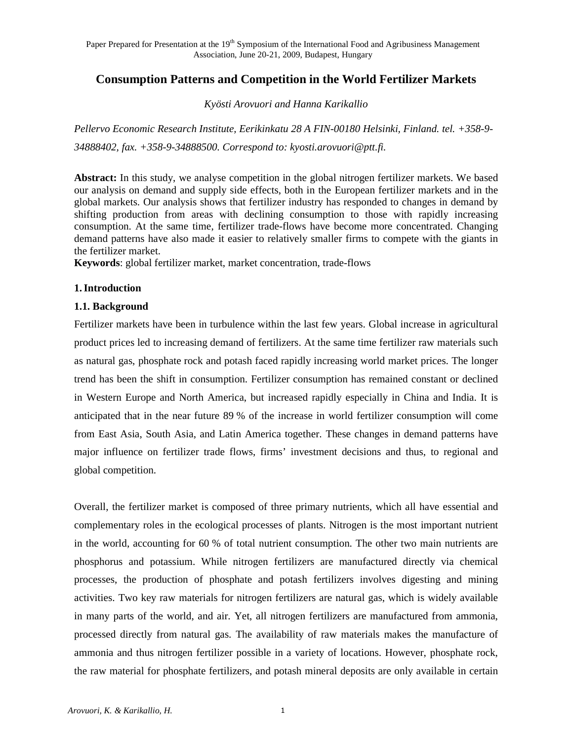# **Consumption Patterns and Competition in the World Fertilizer Markets**

*Kyösti Arovuori and Hanna Karikallio* 

*Pellervo Economic Research Institute, Eerikinkatu 28 A FIN-00180 Helsinki, Finland. tel. +358-9- 34888402, fax. +358-9-34888500. Correspond to: kyosti.arovuori@ptt.fi.* 

**Abstract:** In this study, we analyse competition in the global nitrogen fertilizer markets. We based our analysis on demand and supply side effects, both in the European fertilizer markets and in the global markets. Our analysis shows that fertilizer industry has responded to changes in demand by shifting production from areas with declining consumption to those with rapidly increasing consumption. At the same time, fertilizer trade-flows have become more concentrated. Changing demand patterns have also made it easier to relatively smaller firms to compete with the giants in the fertilizer market.

**Keywords**: global fertilizer market, market concentration, trade-flows

### **1. Introduction**

### **1.1. Background**

Fertilizer markets have been in turbulence within the last few years. Global increase in agricultural product prices led to increasing demand of fertilizers. At the same time fertilizer raw materials such as natural gas, phosphate rock and potash faced rapidly increasing world market prices. The longer trend has been the shift in consumption. Fertilizer consumption has remained constant or declined in Western Europe and North America, but increased rapidly especially in China and India. It is anticipated that in the near future 89 % of the increase in world fertilizer consumption will come from East Asia, South Asia, and Latin America together. These changes in demand patterns have major influence on fertilizer trade flows, firms' investment decisions and thus, to regional and global competition.

Overall, the fertilizer market is composed of three primary nutrients, which all have essential and complementary roles in the ecological processes of plants. Nitrogen is the most important nutrient in the world, accounting for 60 % of total nutrient consumption. The other two main nutrients are phosphorus and potassium. While nitrogen fertilizers are manufactured directly via chemical processes, the production of phosphate and potash fertilizers involves digesting and mining activities. Two key raw materials for nitrogen fertilizers are natural gas, which is widely available in many parts of the world, and air. Yet, all nitrogen fertilizers are manufactured from ammonia, processed directly from natural gas. The availability of raw materials makes the manufacture of ammonia and thus nitrogen fertilizer possible in a variety of locations. However, phosphate rock, the raw material for phosphate fertilizers, and potash mineral deposits are only available in certain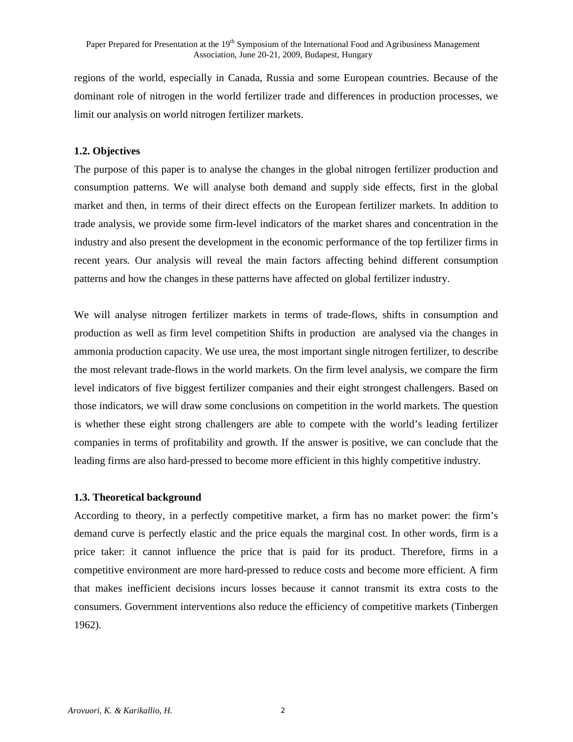regions of the world, especially in Canada, Russia and some European countries. Because of the dominant role of nitrogen in the world fertilizer trade and differences in production processes, we limit our analysis on world nitrogen fertilizer markets.

### **1.2. Objectives**

The purpose of this paper is to analyse the changes in the global nitrogen fertilizer production and consumption patterns. We will analyse both demand and supply side effects, first in the global market and then, in terms of their direct effects on the European fertilizer markets. In addition to trade analysis, we provide some firm-level indicators of the market shares and concentration in the industry and also present the development in the economic performance of the top fertilizer firms in recent years. Our analysis will reveal the main factors affecting behind different consumption patterns and how the changes in these patterns have affected on global fertilizer industry.

We will analyse nitrogen fertilizer markets in terms of trade-flows, shifts in consumption and production as well as firm level competition Shifts in production are analysed via the changes in ammonia production capacity. We use urea, the most important single nitrogen fertilizer, to describe the most relevant trade-flows in the world markets. On the firm level analysis, we compare the firm level indicators of five biggest fertilizer companies and their eight strongest challengers. Based on those indicators, we will draw some conclusions on competition in the world markets. The question is whether these eight strong challengers are able to compete with the world's leading fertilizer companies in terms of profitability and growth. If the answer is positive, we can conclude that the leading firms are also hard-pressed to become more efficient in this highly competitive industry.

## **1.3. Theoretical background**

According to theory, in a perfectly competitive market, a firm has no market power: the firm's demand curve is perfectly elastic and the price equals the marginal cost. In other words, firm is a price taker: it cannot influence the price that is paid for its product. Therefore, firms in a competitive environment are more hard-pressed to reduce costs and become more efficient. A firm that makes inefficient decisions incurs losses because it cannot transmit its extra costs to the consumers. Government interventions also reduce the efficiency of competitive markets (Tinbergen 1962).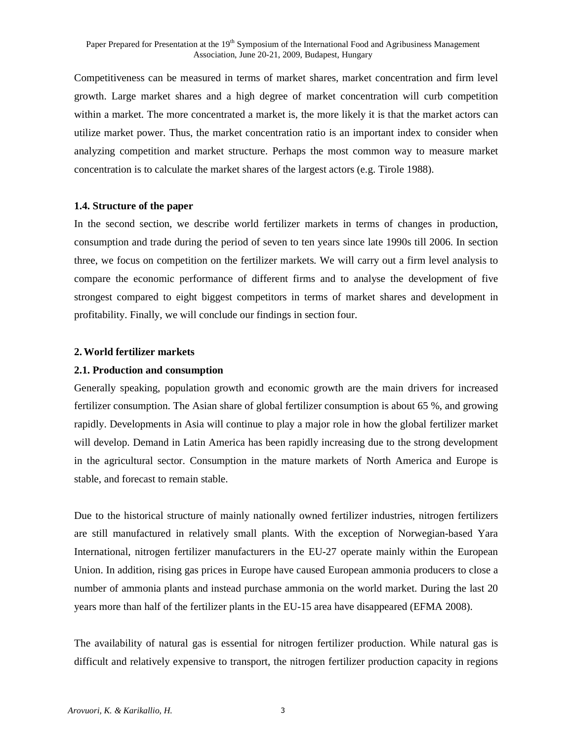Competitiveness can be measured in terms of market shares, market concentration and firm level growth. Large market shares and a high degree of market concentration will curb competition within a market. The more concentrated a market is, the more likely it is that the market actors can utilize market power. Thus, the market concentration ratio is an important index to consider when analyzing competition and market structure. Perhaps the most common way to measure market concentration is to calculate the market shares of the largest actors (e.g. Tirole 1988).

#### **1.4. Structure of the paper**

In the second section, we describe world fertilizer markets in terms of changes in production, consumption and trade during the period of seven to ten years since late 1990s till 2006. In section three, we focus on competition on the fertilizer markets. We will carry out a firm level analysis to compare the economic performance of different firms and to analyse the development of five strongest compared to eight biggest competitors in terms of market shares and development in profitability. Finally, we will conclude our findings in section four.

### **2. World fertilizer markets**

#### **2.1. Production and consumption**

Generally speaking, population growth and economic growth are the main drivers for increased fertilizer consumption. The Asian share of global fertilizer consumption is about 65 %, and growing rapidly. Developments in Asia will continue to play a major role in how the global fertilizer market will develop. Demand in Latin America has been rapidly increasing due to the strong development in the agricultural sector. Consumption in the mature markets of North America and Europe is stable, and forecast to remain stable.

Due to the historical structure of mainly nationally owned fertilizer industries, nitrogen fertilizers are still manufactured in relatively small plants. With the exception of Norwegian-based Yara International, nitrogen fertilizer manufacturers in the EU-27 operate mainly within the European Union. In addition, rising gas prices in Europe have caused European ammonia producers to close a number of ammonia plants and instead purchase ammonia on the world market. During the last 20 years more than half of the fertilizer plants in the EU-15 area have disappeared (EFMA 2008).

The availability of natural gas is essential for nitrogen fertilizer production. While natural gas is difficult and relatively expensive to transport, the nitrogen fertilizer production capacity in regions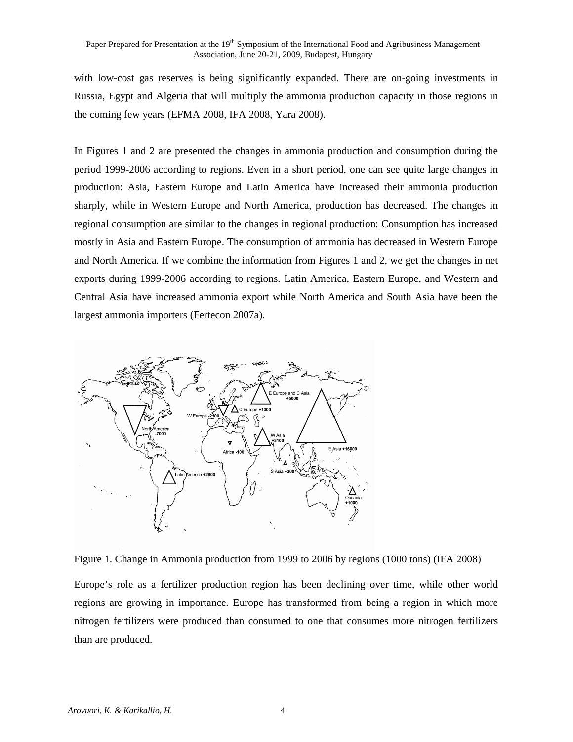with low-cost gas reserves is being significantly expanded. There are on-going investments in Russia, Egypt and Algeria that will multiply the ammonia production capacity in those regions in the coming few years (EFMA 2008, IFA 2008, Yara 2008).

In Figures 1 and 2 are presented the changes in ammonia production and consumption during the period 1999-2006 according to regions. Even in a short period, one can see quite large changes in production: Asia, Eastern Europe and Latin America have increased their ammonia production sharply, while in Western Europe and North America, production has decreased. The changes in regional consumption are similar to the changes in regional production: Consumption has increased mostly in Asia and Eastern Europe. The consumption of ammonia has decreased in Western Europe and North America. If we combine the information from Figures 1 and 2, we get the changes in net exports during 1999-2006 according to regions. Latin America, Eastern Europe, and Western and Central Asia have increased ammonia export while North America and South Asia have been the largest ammonia importers (Fertecon 2007a).



Figure 1. Change in Ammonia production from 1999 to 2006 by regions (1000 tons) (IFA 2008)

Europe's role as a fertilizer production region has been declining over time, while other world regions are growing in importance. Europe has transformed from being a region in which more nitrogen fertilizers were produced than consumed to one that consumes more nitrogen fertilizers than are produced.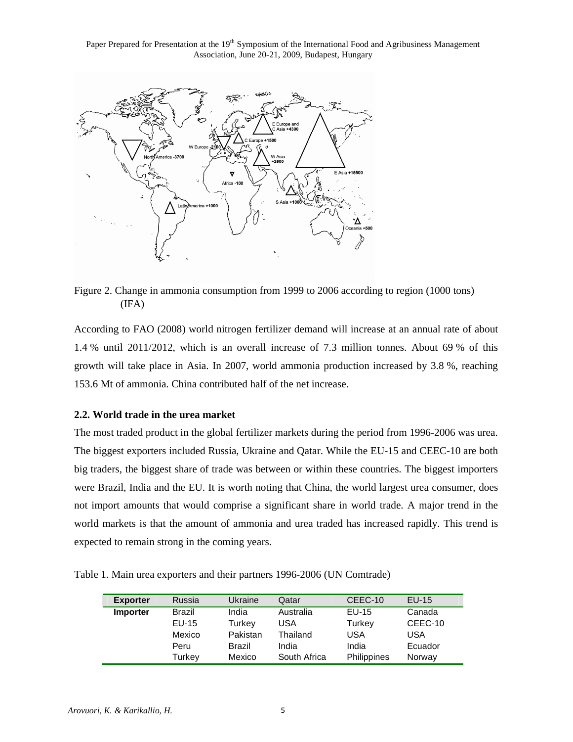

Figure 2. Change in ammonia consumption from 1999 to 2006 according to region (1000 tons) (IFA)

According to FAO (2008) world nitrogen fertilizer demand will increase at an annual rate of about 1.4 % until 2011/2012, which is an overall increase of 7.3 million tonnes. About 69 % of this growth will take place in Asia. In 2007, world ammonia production increased by 3.8 %, reaching 153.6 Mt of ammonia. China contributed half of the net increase.

#### **2.2. World trade in the urea market**

The most traded product in the global fertilizer markets during the period from 1996-2006 was urea. The biggest exporters included Russia, Ukraine and Qatar. While the EU-15 and CEEC-10 are both big traders, the biggest share of trade was between or within these countries. The biggest importers were Brazil, India and the EU. It is worth noting that China, the world largest urea consumer, does not import amounts that would comprise a significant share in world trade. A major trend in the world markets is that the amount of ammonia and urea traded has increased rapidly. This trend is expected to remain strong in the coming years.

Table 1. Main urea exporters and their partners 1996-2006 (UN Comtrade)

| <b>Exporter</b> | Russia | Ukraine  | Qatar        | CEEC-10            | EU-15   |
|-----------------|--------|----------|--------------|--------------------|---------|
| Importer        | Brazil | India    | Australia    | EU-15              | Canada  |
|                 | EU-15  | Turkey   | USA          | Turkey             | CEEC-10 |
|                 | Mexico | Pakistan | Thailand     | USA                | USA     |
|                 | Peru   | Brazil   | India        | India              | Ecuador |
|                 | Turkev | Mexico   | South Africa | <b>Philippines</b> | Norway  |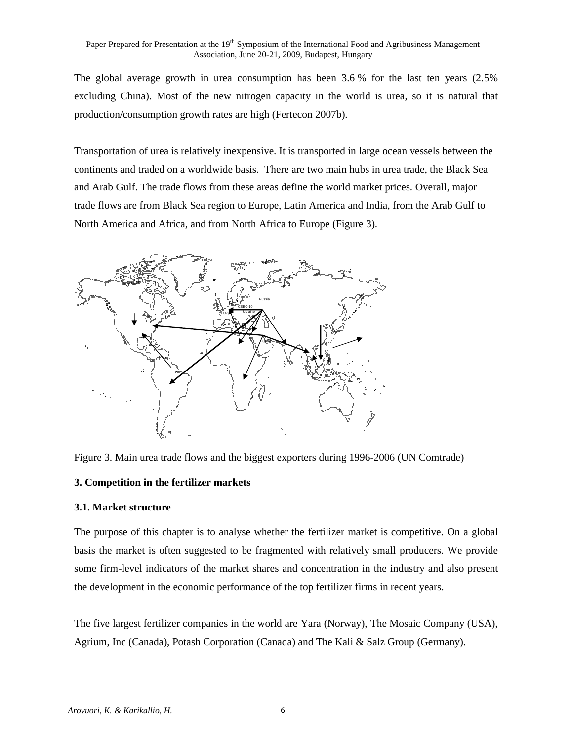The global average growth in urea consumption has been 3.6 % for the last ten years (2.5% excluding China). Most of the new nitrogen capacity in the world is urea, so it is natural that production/consumption growth rates are high (Fertecon 2007b).

Transportation of urea is relatively inexpensive. It is transported in large ocean vessels between the continents and traded on a worldwide basis. There are two main hubs in urea trade, the Black Sea and Arab Gulf. The trade flows from these areas define the world market prices. Overall, major trade flows are from Black Sea region to Europe, Latin America and India, from the Arab Gulf to North America and Africa, and from North Africa to Europe (Figure 3).



Figure 3. Main urea trade flows and the biggest exporters during 1996-2006 (UN Comtrade)

### **3. Competition in the fertilizer markets**

### **3.1. Market structure**

The purpose of this chapter is to analyse whether the fertilizer market is competitive. On a global basis the market is often suggested to be fragmented with relatively small producers. We provide some firm-level indicators of the market shares and concentration in the industry and also present the development in the economic performance of the top fertilizer firms in recent years.

The five largest fertilizer companies in the world are Yara (Norway), The Mosaic Company (USA), Agrium, Inc (Canada), Potash Corporation (Canada) and The Kali & Salz Group (Germany).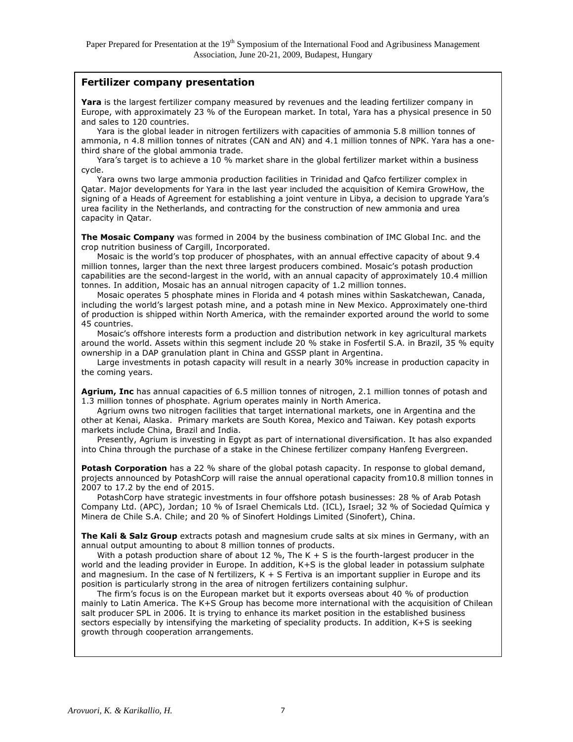#### Fertilizer company presentation

Yara is the largest fertilizer company measured by revenues and the leading fertilizer company in Europe, with approximately 23 % of the European market. In total, Yara has a physical presence in 50 and sales to 120 countries.

 Yara is the global leader in nitrogen fertilizers with capacities of ammonia 5.8 million tonnes of ammonia, n 4.8 million tonnes of nitrates (CAN and AN) and 4.1 million tonnes of NPK. Yara has a onethird share of the global ammonia trade.

 Yara's target is to achieve a 10 % market share in the global fertilizer market within a business cycle.

 Yara owns two large ammonia production facilities in Trinidad and Qafco fertilizer complex in Qatar. Major developments for Yara in the last year included the acquisition of Kemira GrowHow, the signing of a Heads of Agreement for establishing a joint venture in Libya, a decision to upgrade Yara's urea facility in the Netherlands, and contracting for the construction of new ammonia and urea capacity in Qatar.

The Mosaic Company was formed in 2004 by the business combination of IMC Global Inc. and the crop nutrition business of Cargill, Incorporated.

 Mosaic is the world's top producer of phosphates, with an annual effective capacity of about 9.4 million tonnes, larger than the next three largest producers combined. Mosaic's potash production capabilities are the second-largest in the world, with an annual capacity of approximately 10.4 million tonnes. In addition, Mosaic has an annual nitrogen capacity of 1.2 million tonnes.

 Mosaic operates 5 phosphate mines in Florida and 4 potash mines within Saskatchewan, Canada, including the world's largest potash mine, and a potash mine in New Mexico. Approximately one-third of production is shipped within North America, with the remainder exported around the world to some 45 countries.

 Mosaic's offshore interests form a production and distribution network in key agricultural markets around the world. Assets within this segment include 20 % stake in Fosfertil S.A. in Brazil, 35 % equity ownership in a DAP granulation plant in China and GSSP plant in Argentina.

 Large investments in potash capacity will result in a nearly 30% increase in production capacity in the coming years.

Agrium, Inc has annual capacities of 6.5 million tonnes of nitrogen, 2.1 million tonnes of potash and 1.3 million tonnes of phosphate. Agrium operates mainly in North America.

 Agrium owns two nitrogen facilities that target international markets, one in Argentina and the other at Kenai, Alaska. Primary markets are South Korea, Mexico and Taiwan. Key potash exports markets include China, Brazil and India.

 Presently, Agrium is investing in Egypt as part of international diversification. It has also expanded into China through the purchase of a stake in the Chinese fertilizer company Hanfeng Evergreen.

Potash Corporation has a 22 % share of the global potash capacity. In response to global demand, projects announced by PotashCorp will raise the annual operational capacity from10.8 million tonnes in 2007 to 17.2 by the end of 2015.

 PotashCorp have strategic investments in four offshore potash businesses: 28 % of Arab Potash Company Ltd. (APC), Jordan; 10 % of Israel Chemicals Ltd. (ICL), Israel; 32 % of Sociedad Química y Minera de Chile S.A. Chile; and 20 % of Sinofert Holdings Limited (Sinofert), China.

The Kali & Salz Group extracts potash and magnesium crude salts at six mines in Germany, with an annual output amounting to about 8 million tonnes of products.

With a potash production share of about 12 %, The K  $+$  S is the fourth-largest producer in the world and the leading provider in Europe. In addition, K+S is the global leader in potassium sulphate and magnesium. In the case of N fertilizers,  $K + S$  Fertiva is an important supplier in Europe and its position is particularly strong in the area of nitrogen fertilizers containing sulphur.

 The firm's focus is on the European market but it exports overseas about 40 % of production mainly to Latin America. The K+S Group has become more international with the acquisition of Chilean salt producer SPL in 2006. It is trying to enhance its market position in the established business sectors especially by intensifying the marketing of speciality products. In addition, K+S is seeking growth through cooperation arrangements.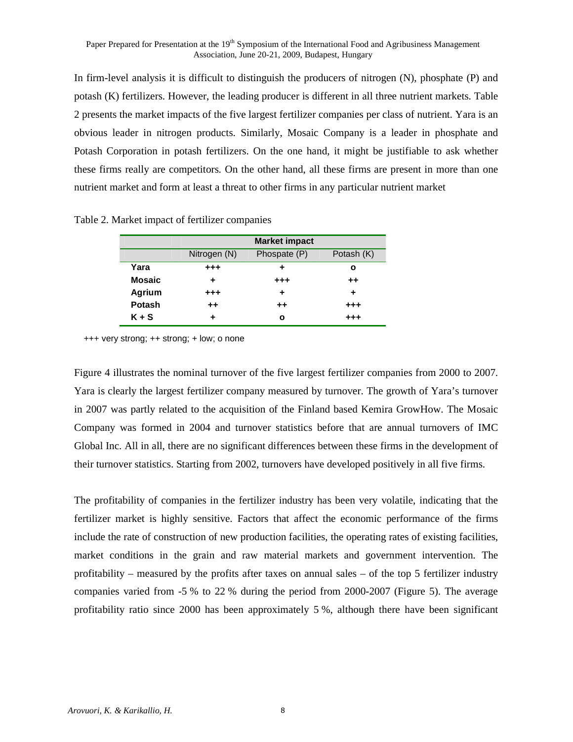In firm-level analysis it is difficult to distinguish the producers of nitrogen (N), phosphate (P) and potash (K) fertilizers. However, the leading producer is different in all three nutrient markets. Table 2 presents the market impacts of the five largest fertilizer companies per class of nutrient. Yara is an obvious leader in nitrogen products. Similarly, Mosaic Company is a leader in phosphate and Potash Corporation in potash fertilizers. On the one hand, it might be justifiable to ask whether these firms really are competitors. On the other hand, all these firms are present in more than one nutrient market and form at least a threat to other firms in any particular nutrient market

|               | <b>Market impact</b> |              |            |  |
|---------------|----------------------|--------------|------------|--|
|               | Nitrogen (N)         | Phospate (P) | Potash (K) |  |
| Yara          | $^{+++}$             | ٠            | О          |  |
| <b>Mosaic</b> |                      | $^{++}$      | $++$       |  |
| <b>Agrium</b> | $^{+++}$             | ٠            | ٠          |  |
| Potash        | ++                   | $++$         | +++        |  |
| $K + S$       |                      | ο            | +++        |  |

Table 2. Market impact of fertilizer companies

+++ very strong; ++ strong; + low; o none

Figure 4 illustrates the nominal turnover of the five largest fertilizer companies from 2000 to 2007. Yara is clearly the largest fertilizer company measured by turnover. The growth of Yara's turnover in 2007 was partly related to the acquisition of the Finland based Kemira GrowHow. The Mosaic Company was formed in 2004 and turnover statistics before that are annual turnovers of IMC Global Inc. All in all, there are no significant differences between these firms in the development of their turnover statistics. Starting from 2002, turnovers have developed positively in all five firms.

The profitability of companies in the fertilizer industry has been very volatile, indicating that the fertilizer market is highly sensitive. Factors that affect the economic performance of the firms include the rate of construction of new production facilities, the operating rates of existing facilities, market conditions in the grain and raw material markets and government intervention. The profitability – measured by the profits after taxes on annual sales – of the top 5 fertilizer industry companies varied from -5 % to 22 % during the period from 2000-2007 (Figure 5). The average profitability ratio since 2000 has been approximately 5 %, although there have been significant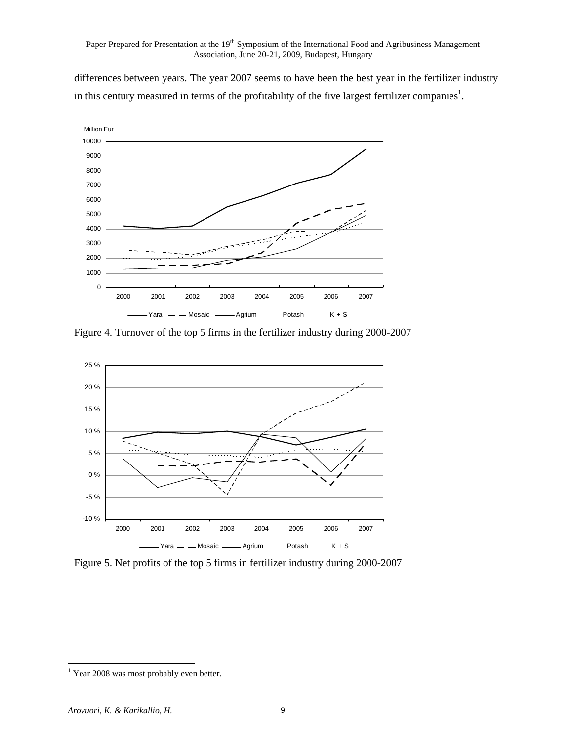differences between years. The year 2007 seems to have been the best year in the fertilizer industry in this century measured in terms of the profitability of the five largest fertilizer companies<sup>1</sup>.



Figure 4. Turnover of the top 5 firms in the fertilizer industry during 2000-2007



Figure 5. Net profits of the top 5 firms in fertilizer industry during 2000-2007

<sup>-</sup><sup>1</sup> Year 2008 was most probably even better.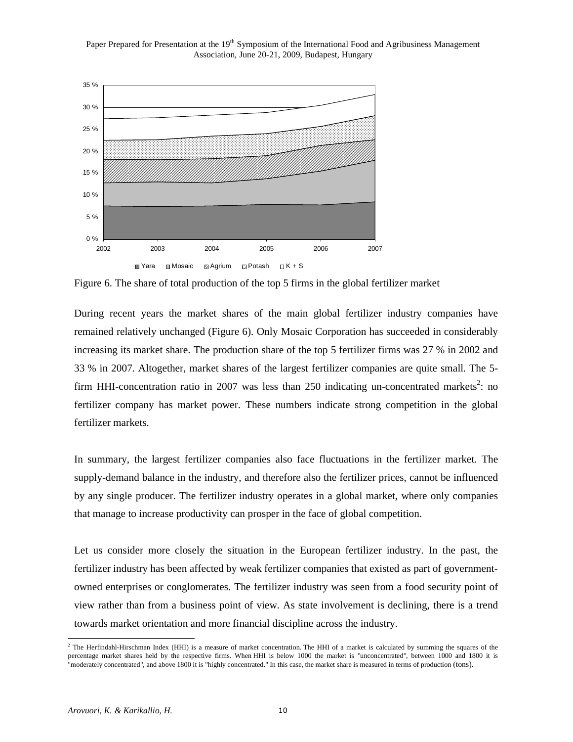

Figure 6. The share of total production of the top 5 firms in the global fertilizer market

During recent years the market shares of the main global fertilizer industry companies have remained relatively unchanged (Figure 6). Only Mosaic Corporation has succeeded in considerably increasing its market share. The production share of the top 5 fertilizer firms was 27 % in 2002 and 33 % in 2007. Altogether, market shares of the largest fertilizer companies are quite small. The 5 firm HHI-concentration ratio in 2007 was less than 250 indicating un-concentrated markets<sup>2</sup>: no fertilizer company has market power. These numbers indicate strong competition in the global fertilizer markets.

In summary, the largest fertilizer companies also face fluctuations in the fertilizer market. The supply-demand balance in the industry, and therefore also the fertilizer prices, cannot be influenced by any single producer. The fertilizer industry operates in a global market, where only companies that manage to increase productivity can prosper in the face of global competition.

Let us consider more closely the situation in the European fertilizer industry. In the past, the fertilizer industry has been affected by weak fertilizer companies that existed as part of governmentowned enterprises or conglomerates. The fertilizer industry was seen from a food security point of view rather than from a business point of view. As state involvement is declining, there is a trend towards market orientation and more financial discipline across the industry.

-

 $<sup>2</sup>$  The Herfindahl-Hirschman Index (HHI) is a measure of market concentration. The HHI of a market is calculated by summing the squares of the</sup> percentage market shares held by the respective firms. When HHI is below 1000 the market is "unconcentrated", between 1000 and 1800 it is "moderately concentrated", and above 1800 it is "highly concentrated." In this case, the market share is measured in terms of production (tons).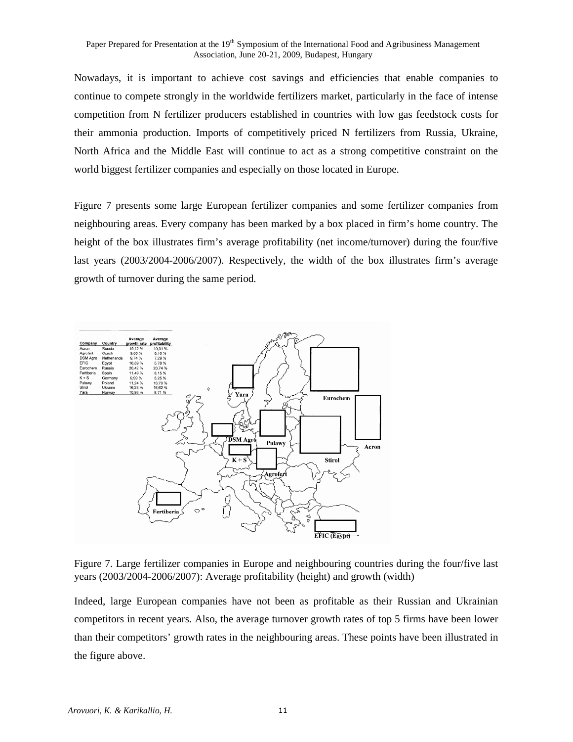Nowadays, it is important to achieve cost savings and efficiencies that enable companies to continue to compete strongly in the worldwide fertilizers market, particularly in the face of intense competition from N fertilizer producers established in countries with low gas feedstock costs for their ammonia production. Imports of competitively priced N fertilizers from Russia, Ukraine, North Africa and the Middle East will continue to act as a strong competitive constraint on the world biggest fertilizer companies and especially on those located in Europe.

Figure 7 presents some large European fertilizer companies and some fertilizer companies from neighbouring areas. Every company has been marked by a box placed in firm's home country. The height of the box illustrates firm's average profitability (net income/turnover) during the four/five last years (2003/2004-2006/2007). Respectively, the width of the box illustrates firm's average growth of turnover during the same period.



Figure 7. Large fertilizer companies in Europe and neighbouring countries during the four/five last years (2003/2004-2006/2007): Average profitability (height) and growth (width)

Indeed, large European companies have not been as profitable as their Russian and Ukrainian competitors in recent years. Also, the average turnover growth rates of top 5 firms have been lower than their competitors' growth rates in the neighbouring areas. These points have been illustrated in the figure above.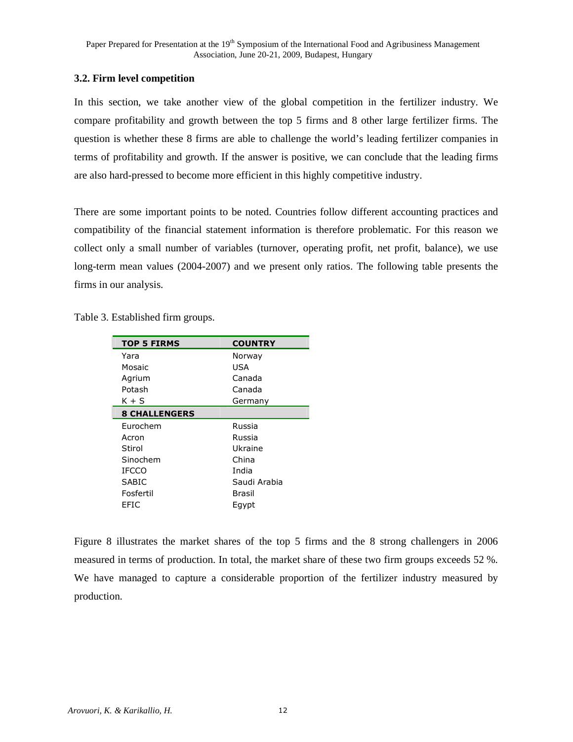### **3.2. Firm level competition**

In this section, we take another view of the global competition in the fertilizer industry. We compare profitability and growth between the top 5 firms and 8 other large fertilizer firms. The question is whether these 8 firms are able to challenge the world's leading fertilizer companies in terms of profitability and growth. If the answer is positive, we can conclude that the leading firms are also hard-pressed to become more efficient in this highly competitive industry.

There are some important points to be noted. Countries follow different accounting practices and compatibility of the financial statement information is therefore problematic. For this reason we collect only a small number of variables (turnover, operating profit, net profit, balance), we use long-term mean values (2004-2007) and we present only ratios. The following table presents the firms in our analysis.

Table 3. Established firm groups.

| <b>TOP 5 FIRMS</b>   | <b>COUNTRY</b> |
|----------------------|----------------|
| Yara                 | Norway         |
| Mosaic               | USA            |
| Agrium               | Canada         |
| Potash               | Canada         |
| K + S                | Germany        |
| <b>8 CHALLENGERS</b> |                |
| Furochem             | Russia         |
| Acron                | Russia         |
| Stirol               | Ukraine        |
| Sinochem             | China          |
| IFCCO                | India          |
| <b>SABIC</b>         | Saudi Arabia   |
| Fosfertil            | Brasil         |
| EFIC                 | Egypt          |

Figure 8 illustrates the market shares of the top 5 firms and the 8 strong challengers in 2006 measured in terms of production. In total, the market share of these two firm groups exceeds 52 %. We have managed to capture a considerable proportion of the fertilizer industry measured by production.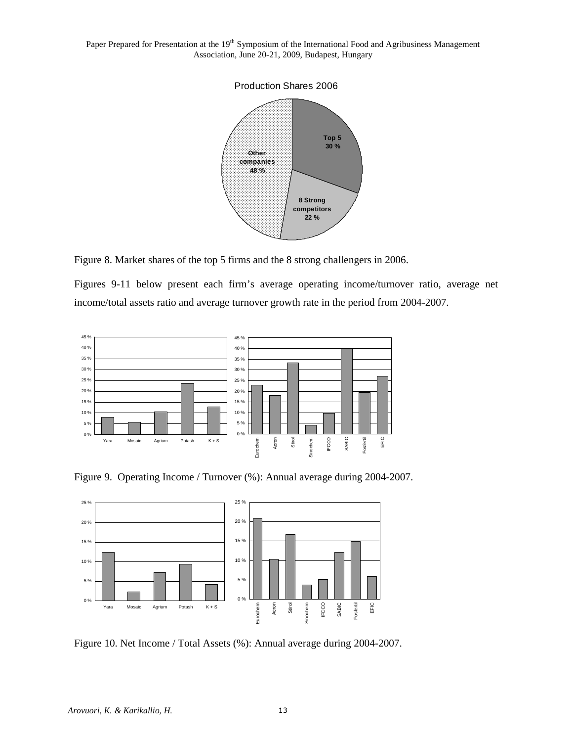

Figure 8. Market shares of the top 5 firms and the 8 strong challengers in 2006.

Figures 9-11 below present each firm's average operating income/turnover ratio, average net income/total assets ratio and average turnover growth rate in the period from 2004-2007.



Figure 9. Operating Income / Turnover (%): Annual average during 2004-2007.



Figure 10. Net Income / Total Assets (%): Annual average during 2004-2007.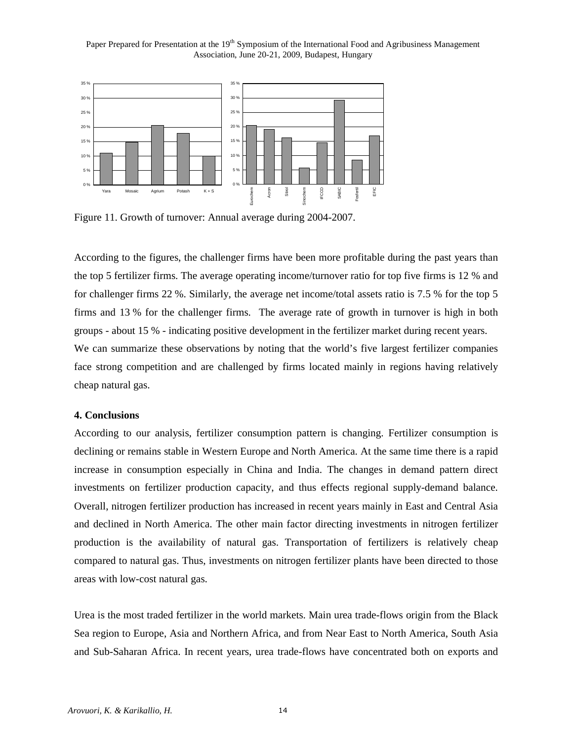

Figure 11. Growth of turnover: Annual average during 2004-2007.

According to the figures, the challenger firms have been more profitable during the past years than the top 5 fertilizer firms. The average operating income/turnover ratio for top five firms is 12 % and for challenger firms 22 %. Similarly, the average net income/total assets ratio is 7.5 % for the top 5 firms and 13 % for the challenger firms. The average rate of growth in turnover is high in both groups - about 15 % - indicating positive development in the fertilizer market during recent years. We can summarize these observations by noting that the world's five largest fertilizer companies face strong competition and are challenged by firms located mainly in regions having relatively cheap natural gas.

#### **4. Conclusions**

According to our analysis, fertilizer consumption pattern is changing. Fertilizer consumption is declining or remains stable in Western Europe and North America. At the same time there is a rapid increase in consumption especially in China and India. The changes in demand pattern direct investments on fertilizer production capacity, and thus effects regional supply-demand balance. Overall, nitrogen fertilizer production has increased in recent years mainly in East and Central Asia and declined in North America. The other main factor directing investments in nitrogen fertilizer production is the availability of natural gas. Transportation of fertilizers is relatively cheap compared to natural gas. Thus, investments on nitrogen fertilizer plants have been directed to those areas with low-cost natural gas.

Urea is the most traded fertilizer in the world markets. Main urea trade-flows origin from the Black Sea region to Europe, Asia and Northern Africa, and from Near East to North America, South Asia and Sub-Saharan Africa. In recent years, urea trade-flows have concentrated both on exports and